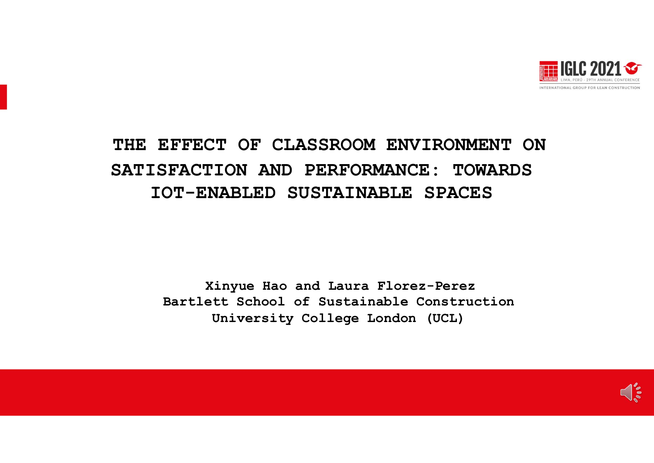

### THE EFFECT OF CLASSROOM ENVIRONMENT ON SATISFACTION AND PERFORMANCE: TOWARDS IOT-ENABLED SUSTAINABLE SPACES

Xinyue Hao and Laura Florez-Perez Bartlett School of Sustainable Construction University College London (UCL)

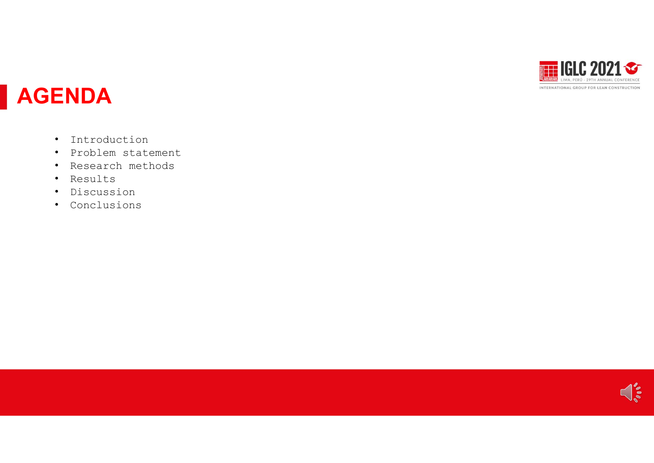

## AGENDA

- Introduction
- Problem statement
- Research methods
- Results
- Discussion
- Conclusions

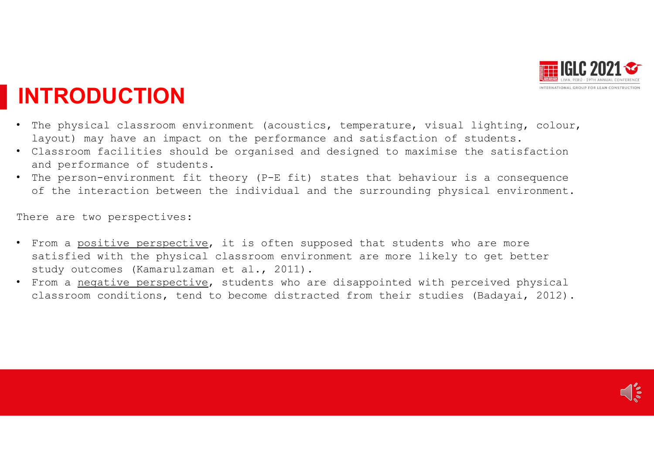

## INTRODUCTION

- The physical classroom environment (acoustics, temperature, visual lighting, colour, layout) may have an impact on the performance and satisfaction of students. • The physical classroom environment (acoustics, temperature, visual lighting, colour, layout) may have an impact on the performance and satisfaction of students.<br>
• Classroom facilities should be organised and designed to
- Classroom facilities should be organised and designed to maximise the satisfaction and performance of students.
- of the interaction between the individual and the surrounding physical environment.

There are two perspectives:

- From a positive perspective, it is often supposed that students who are more satisfied with the physical classroom environment are more likely to get better **STRODUCTION**<br>The physical classroom environment (acoustics, temperature, visual l<br>layout) may have an impact on the performance and satisfaction of st<br>Classroom facilities should be organised and designed to maximise th<br>a
- From a negative perspective, students who are disappointed with perceived physical classroom conditions, tend to become distracted from their studies (Badayai, 2012).

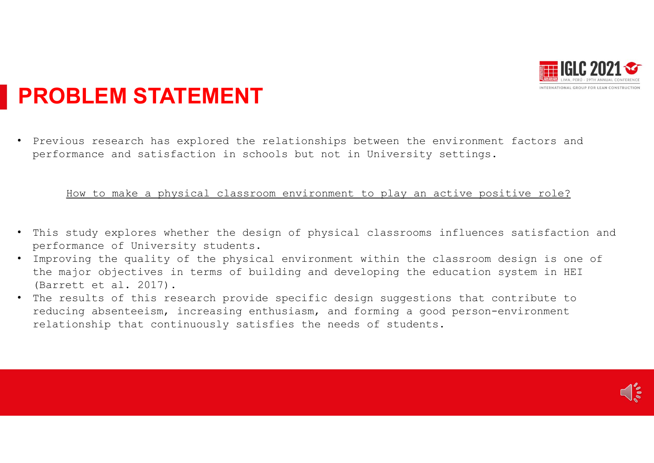

## PROBLEM STATEMENT

• Previous research has explored the relationships between the environment factors and performance and satisfaction in schools but not in University settings.

#### How to make a physical classroom environment to play an active positive role?

- This study explores whether the design of physical classrooms influences satisfaction and performance of University students.
- performance of onfverbrey beadencs:<br>• Improving the quality of the physical environment within the classroom design is one of the major objectives in terms of building and developing the education system in HEI (Barrett et al. 2017).
- The results of this research provide specific design suggestions that contribute to reducing absenteeism, increasing enthusiasm, and forming a good person-environment relationship that continuously satisfies the needs of students.

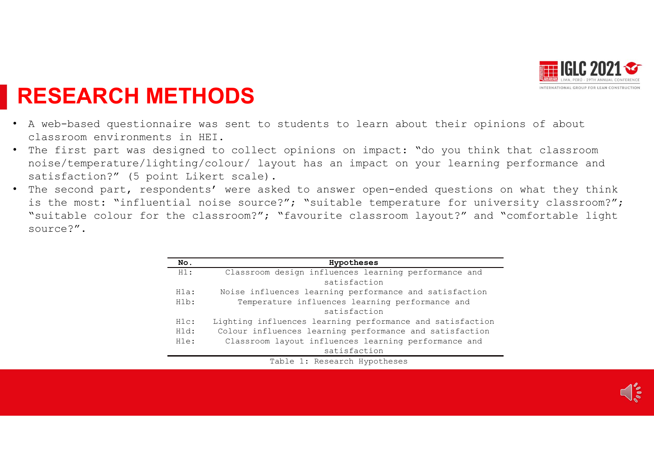

## RESEARCH METHODS

- A web-based questionnaire was sent to students to learn about their opinions of about classroom environments in HEI.
- The first part was designed to collect opinions on impact: "do you think that classroom noise/temperature/lighting/colour/ layout has an impact on your learning performance and
- **HMETHODS**<br>
Sitionnaire was sent to students to learn about their opinions of about<br>
connents in HET.<br>
Was designed to collect opinions on impact: "do you think that classroom<br>
(5 point Likert scale).<br>
, respondents' were **RESEARCH METHODS**<br>A web-based questionnaire was sent to students to learn about<br>classroom environments in HEI.<br>The first part was designed to collect opinions on impact: "<br>noise/temperature/lighting/colour/ layout has an **RESEARCH METHODS**<br>• N web-based questionnaire was sent to students to learn about their opinions of about<br>• classroom environments in IEI.<br>• The first part was designed to collect opinions on impact: "do you think that c is the most: "influential noise source?"; "suitable temperature for university classroom?"; **ESEARCH METHODS**<br>
A web-based questionnaire was sent to students to learn about their opinions of about<br>
classroom environments in HEI.<br>
The first part was designed to collect opinions on impact: "do you think that classr source?".

|           | <b>HEEE</b> LIMA, PERÚ - 29TH ANNUAL CONFERENCI<br>INTERNATIONAL GROUP FOR LEAN CONSTRUCTION<br><b>ETHODS</b>                                                                                                              |
|-----------|----------------------------------------------------------------------------------------------------------------------------------------------------------------------------------------------------------------------------|
| s in HEI. | aire was sent to students to learn about their opinions of about                                                                                                                                                           |
|           | esigned to collect opinions on impact: "do you think that classroom<br>hting/colour/ layout has an impact on your learning performance and<br>nt Likert scale).                                                            |
|           | oondents' were asked to answer open-ended questions on what they think<br>itial noise source?"; "suitable temperature for university classroom?";<br>the classroom?"; "favourite classroom layout?" and "comfortable light |
|           |                                                                                                                                                                                                                            |
| No.       |                                                                                                                                                                                                                            |
| $H1$ :    | Hypotheses<br>Classroom design influences learning performance and<br>satisfaction                                                                                                                                         |
| Hla:      | Noise influences learning performance and satisfaction                                                                                                                                                                     |
| H1b:      | Temperature influences learning performance and<br>satisfaction                                                                                                                                                            |
| H1c:      | Lighting influences learning performance and satisfaction                                                                                                                                                                  |
| H1d:      | Colour influences learning performance and satisfaction                                                                                                                                                                    |
| H1e:      | Classroom layout influences learning performance and<br>satisfaction                                                                                                                                                       |
|           | Table 1: Research Hypotheses                                                                                                                                                                                               |

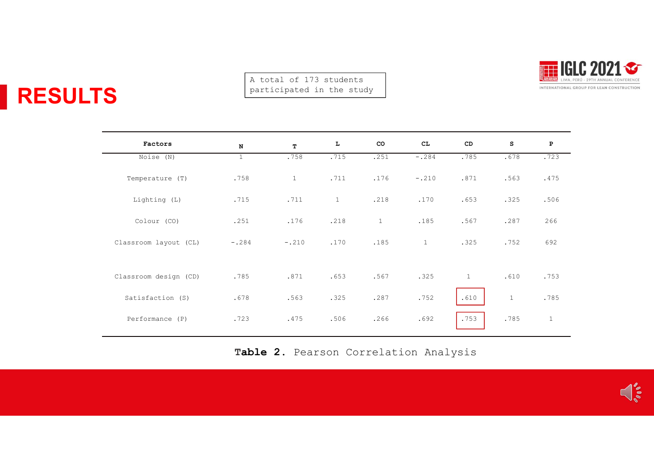RESULTS



|                       |                             | A total of 173 students<br>participated in the study |                      |                    |                          | 29TH ANNUAL CONFERENCE<br>INTERNATIONAL GROUP FOR LEAN CONSTRUCTION |                   |                      |
|-----------------------|-----------------------------|------------------------------------------------------|----------------------|--------------------|--------------------------|---------------------------------------------------------------------|-------------------|----------------------|
|                       |                             |                                                      |                      |                    |                          |                                                                     |                   |                      |
| Factors<br>Noise (N)  | $\mathbf N$<br>$\mathbf{1}$ | $\mathbf T$<br>.758                                  | $\mathbf{L}$<br>.715 | ${\rm co}$<br>.251 | $\mathtt{CL}$<br>$-.284$ | ${\tt CD}$<br>.785                                                  | ${\tt S}$<br>.678 | $\mathbf{P}$<br>.723 |
|                       |                             |                                                      |                      |                    |                          |                                                                     |                   |                      |
| Temperature (T)       | .758                        | $\mathbf{1}$                                         | .711                 | .176               | $-.210$                  | .871                                                                | .563              | .475                 |
| Lighting (L)          | .715                        | .711                                                 | $\mathbf{1}$         | .218               | .170                     | .653                                                                | .325              | .506                 |
| Colour (CO)           | .251                        | .176                                                 | .218                 | $\mathbf{1}$       | .185                     | .567                                                                | .287              | 266                  |
| Classroom layout (CL) | $-.284$                     | $-.210$                                              | .170                 | .185               | $\mathbf{1}$             | .325                                                                | .752              | 692                  |
| Classroom design (CD) | .785                        | .871                                                 | .653                 | .567               | .325                     | $\mathbf{1}$                                                        | .610              | .753                 |
| Satisfaction (S)      | .678                        | .563                                                 | .325                 | .287               | .752                     | .610                                                                | $\mathbf{1}$      | .785                 |
| Performance (P)       | .723                        | .475                                                 | .506                 | .266               | .692                     | .753                                                                | .785              | $\mathbf{1}$         |

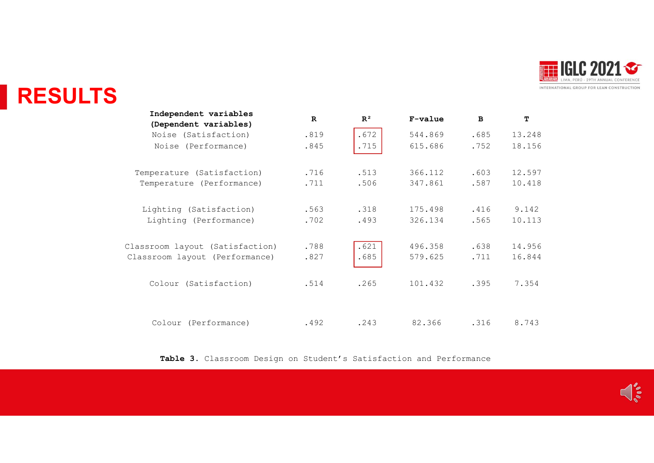

## RESULTS

|                                                                     |           |                |             |              |        | <b>NG</b>                                   |
|---------------------------------------------------------------------|-----------|----------------|-------------|--------------|--------|---------------------------------------------|
|                                                                     |           |                |             |              |        | INTERNATIONAL GROUP FOR LEAN CONSTRUCTION   |
| Independent variables<br>(Dependent variables)                      | ${\bf R}$ | $\mathbb{R}^2$ | F-value     | $\, {\bf B}$ | T      |                                             |
| Noise (Satisfaction)                                                | .819      | .672           | 544.869     | .685         | 13.248 |                                             |
| Noise (Performance)                                                 | .845      | .715           | 615.686     | .752         | 18.156 |                                             |
| Temperature (Satisfaction)                                          | .716      | .513           | 366.112     | .603         | 12.597 |                                             |
| Temperature (Performance)                                           | .711      | .506           | 347.861     | .587         | 10.418 |                                             |
| Lighting (Satisfaction)                                             | .563      | .318           | 175.498     | .416         | 9.142  |                                             |
| Lighting (Performance)                                              | .702      | .493           | 326.134     | .565         | 10.113 |                                             |
| Classroom layout (Satisfaction)                                     | .788      | .621           | 496.358     | .638         | 14.956 |                                             |
| Classroom layout (Performance)                                      | .827      | .685           | 579.625     | .711         | 16.844 |                                             |
| Colour (Satisfaction)                                               | .514      | .265           | 101.432     | .395         | 7.354  |                                             |
| Colour (Performance)                                                | .492      | .243           | 82.366 .316 |              | 8.743  |                                             |
| Table 3. Classroom Design on Student's Satisfaction and Performance |           |                |             |              |        |                                             |
|                                                                     |           |                |             |              |        |                                             |
|                                                                     |           |                |             |              |        | $\bigcap_{\sigma\in\sigma} \sigma_{\sigma}$ |
|                                                                     |           |                |             |              |        |                                             |
|                                                                     |           |                |             |              |        |                                             |

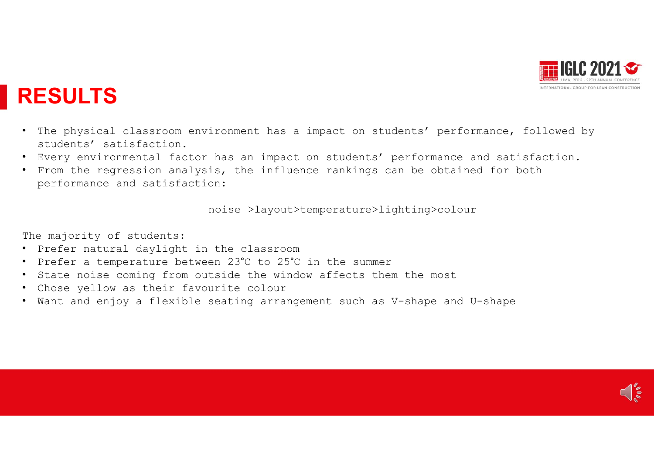

## RESULTS

- The physical classroom environment has a impact on students' performance, followed by students' satisfaction. • The physical classroom environment has a impact on students' performance students' satisfaction.<br>• Every environmental factor has an impact on students' performance and s<br>• From the regression analysis, the influence ran
- Every environmental factor has an impact on students' performance and satisfaction.
- From the regression analysis, the influence rankings can be obtained for both performance and satisfaction:

noise >layout>temperature>lighting>colour

The majority of students:

- Prefer natural daylight in the classroom
- Prefer a temperature between 23°C to 25°C in the summer
- State noise coming from outside the window affects them the most
- 
- Want and enjoy a flexible seating arrangement such as V-shape and U-shape

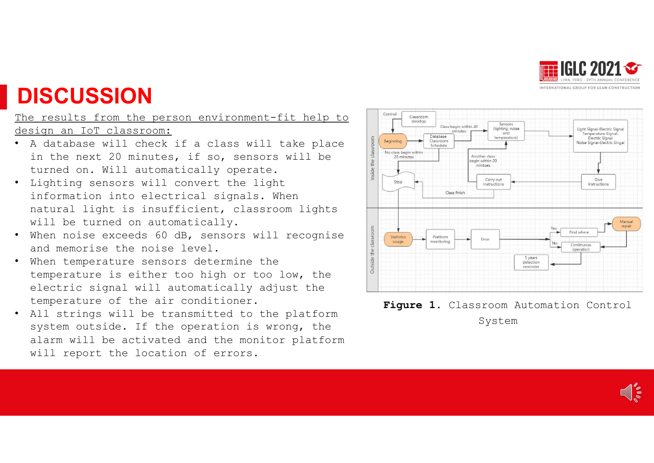

## **DISCUSSION**

The results from the person environment-fit help to  $\left| \int_{\frac{3}{\text{Class}}}}^{\frac{\text{Control}}{\text{Class}}}}$ design an IoT classroom:

- A database will check if a class will take place<br>in the next 20 minutes, if so, sensors will be<br>turned on. Will automatically operate. in the next 20 minutes, if so, sensors will be  $\frac{1}{2}$  and  $\frac{1}{2}$  and  $\frac{1}{2}$  and  $\frac{1}{2}$  and  $\frac{1}{2}$  and  $\frac{1}{2}$  and  $\frac{1}{2}$  and  $\frac{1}{2}$  and  $\frac{1}{2}$  and  $\frac{1}{2}$  and  $\frac{1}{2}$  and  $\frac{1}{2}$  and  $\frac{1}{$ turned on. Will automatically operate.
- Lighting sensors will convert the light  $\begin{array}{c} \begin{array}{c} \end{array} \end{array}$ information into electrical signals. When also also the class finish natural light is insufficient, classroom lights
- will be turned on automatically.<br>When noise exceeds 60 dB, sensors will recognise<br>and memorise the noise level.<br>When temperature sensors determine the • When noise exceeds 60 dB, sensors will recognise and memorise the noise level.
- When temperature sensors determine the temperature is either too high or too low, the electric signal will automatically adjust the temperature of the air conditioner.
- All strings will be transmitted to the platform system outside. If the operation is wrong, the alarm will be activated and the monitor platform will report the location of errors.



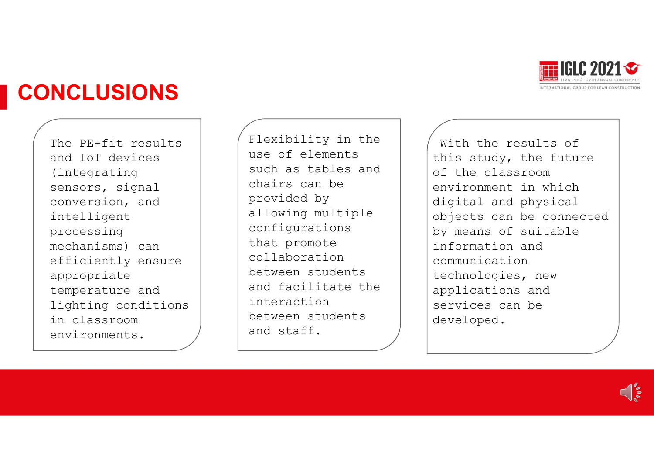

## CONCLUSIONS

and IoT devices (integrating sensors, signal conversion, and intelligent processing efficiently ensure appropriate temperature and lighting conditions in classroom environments.

use of elements such as tables and chairs can be provided by allowing multiple configurations that promote collaboration between students and facilitate the interaction between students and staff. The PE-fit results | (Flexibility in the **NCLUSIONS**<br>
The PE-fit results<br>
and IoT devices<br>
(integrating<br>
(integrating<br>
sensors, signal<br>
conversion, and<br>
intelligent<br>
processing<br>
mechanisms) can<br>
efficiently ensure<br>
efficiently ensure<br>
efficiently ensure<br>
appropri

Flexibility in the<br>
Flexibility in the<br>
such as tables and<br>
chairs can be<br>
provided by<br>
Plant in which<br>
Plant is study, the future<br>
of the classroom<br>
environment in which<br>
digital and physical With the results of this study, the future of the classroom environment in which digital and physical objects can be connected by means of suitable information and communication technologies, new applications and services can be developed.